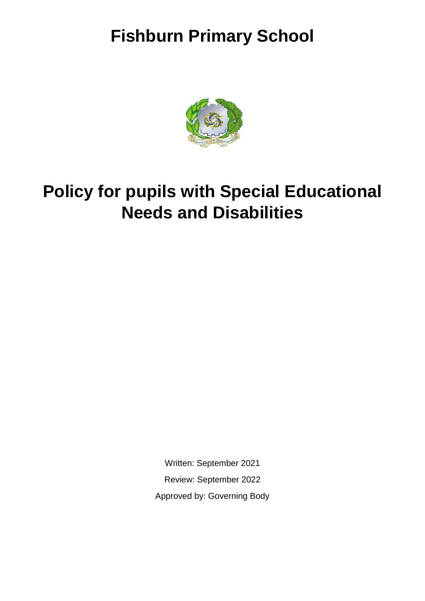# **Fishburn Primary School**



# **Policy for pupils with Special Educational Needs and Disabilities**

Written: September 2021 Review: September 2022 Approved by: Governing Body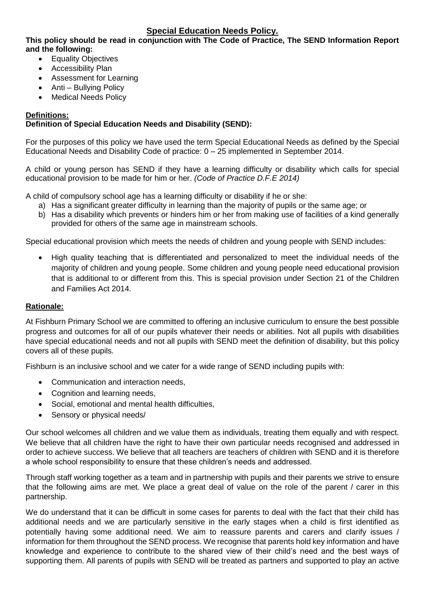## **Special Education Needs Policy.**

#### **This policy should be read in conjunction with The Code of Practice, The SEND Information Report and the following:**

- Equality Objectives
- Accessibility Plan
- Assessment for Learning
- Anti Bullying Policy
- Medical Needs Policy

#### **Definitions:**

#### **Definition of Special Education Needs and Disability (SEND):**

For the purposes of this policy we have used the term Special Educational Needs as defined by the Special Educational Needs and Disability Code of practice: 0 – 25 implemented in September 2014.

A child or young person has SEND if they have a learning difficulty or disability which calls for special educational provision to be made for him or her. *(Code of Practice D.F.E 2014)*

A child of compulsory school age has a learning difficulty or disability if he or she:

- a) Has a significant greater difficulty in learning than the majority of pupils or the same age; or
- b) Has a disability which prevents or hinders him or her from making use of facilities of a kind generally provided for others of the same age in mainstream schools.

Special educational provision which meets the needs of children and young people with SEND includes:

• High quality teaching that is differentiated and personalized to meet the individual needs of the majority of children and young people. Some children and young people need educational provision that is additional to or different from this. This is special provision under Section 21 of the Children and Families Act 2014.

#### **Rationale:**

At Fishburn Primary School we are committed to offering an inclusive curriculum to ensure the best possible progress and outcomes for all of our pupils whatever their needs or abilities. Not all pupils with disabilities have special educational needs and not all pupils with SEND meet the definition of disability, but this policy covers all of these pupils.

Fishburn is an inclusive school and we cater for a wide range of SEND including pupils with:

- Communication and interaction needs,
- Cognition and learning needs,
- Social, emotional and mental health difficulties,
- Sensory or physical needs/

Our school welcomes all children and we value them as individuals, treating them equally and with respect. We believe that all children have the right to have their own particular needs recognised and addressed in order to achieve success. We believe that all teachers are teachers of children with SEND and it is therefore a whole school responsibility to ensure that these children's needs and addressed.

Through staff working together as a team and in partnership with pupils and their parents we strive to ensure that the following aims are met. We place a great deal of value on the role of the parent / carer in this partnership.

We do understand that it can be difficult in some cases for parents to deal with the fact that their child has additional needs and we are particularly sensitive in the early stages when a child is first identified as potentially having some additional need. We aim to reassure parents and carers and clarify issues / information for them throughout the SEND process. We recognise that parents hold key information and have knowledge and experience to contribute to the shared view of their child's need and the best ways of supporting them. All parents of pupils with SEND will be treated as partners and supported to play an active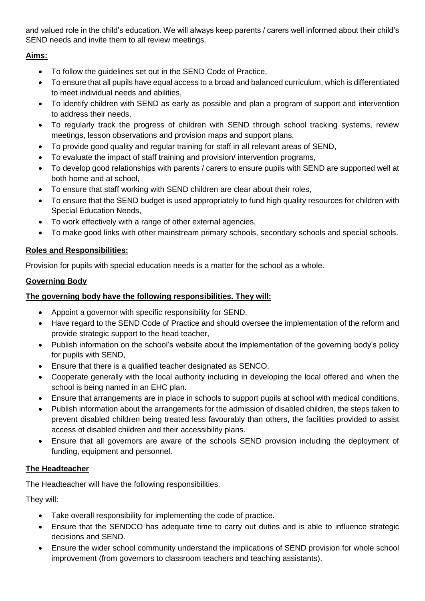and valued role in the child's education. We will always keep parents / carers well informed about their child's SEND needs and invite them to all review meetings.

# **Aims:**

- To follow the guidelines set out in the SEND Code of Practice,
- To ensure that all pupils have equal access to a broad and balanced curriculum, which is differentiated to meet individual needs and abilities,
- To identify children with SEND as early as possible and plan a program of support and intervention to address their needs,
- To regularly track the progress of children with SEND through school tracking systems, review meetings, lesson observations and provision maps and support plans,
- To provide good quality and regular training for staff in all relevant areas of SEND,
- To evaluate the impact of staff training and provision/ intervention programs,
- To develop good relationships with parents / carers to ensure pupils with SEND are supported well at both home and at school,
- To ensure that staff working with SEND children are clear about their roles,
- To ensure that the SEND budget is used appropriately to fund high quality resources for children with Special Education Needs,
- To work effectively with a range of other external agencies,
- To make good links with other mainstream primary schools, secondary schools and special schools.

# **Roles and Responsibilities:**

Provision for pupils with special education needs is a matter for the school as a whole.

# **Governing Body**

# **The governing body have the following responsibilities. They will:**

- Appoint a governor with specific responsibility for SEND,
- Have regard to the SEND Code of Practice and should oversee the implementation of the reform and provide strategic support to the head teacher,
- Publish information on the school's website about the implementation of the governing body's policy for pupils with SEND,
- Ensure that there is a qualified teacher designated as SENCO,
- Cooperate generally with the local authority including in developing the local offered and when the school is being named in an EHC plan.
- Ensure that arrangements are in place in schools to support pupils at school with medical conditions,
- Publish information about the arrangements for the admission of disabled children, the steps taken to prevent disabled children being treated less favourably than others, the facilities provided to assist access of disabled children and their accessibility plans.
- Ensure that all governors are aware of the schools SEND provision including the deployment of funding, equipment and personnel.

# **The Headteacher**

The Headteacher will have the following responsibilities.

They will:

- Take overall responsibility for implementing the code of practice.
- Ensure that the SENDCO has adequate time to carry out duties and is able to influence strategic decisions and SEND.
- Ensure the wider school community understand the implications of SEND provision for whole school improvement (from governors to classroom teachers and teaching assistants).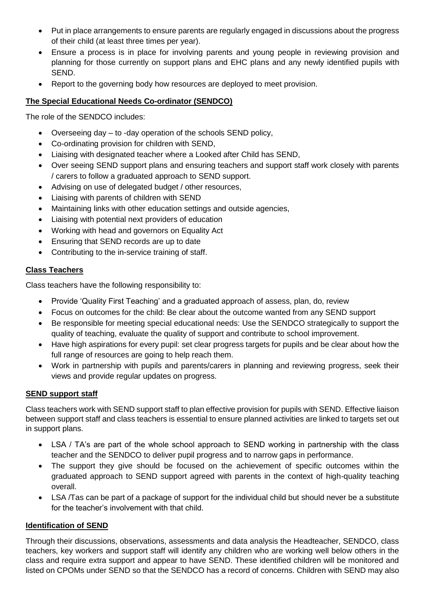- Put in place arrangements to ensure parents are regularly engaged in discussions about the progress of their child (at least three times per year).
- Ensure a process is in place for involving parents and young people in reviewing provision and planning for those currently on support plans and EHC plans and any newly identified pupils with SEND.
- Report to the governing body how resources are deployed to meet provision.

## **The Special Educational Needs Co-ordinator (SENDCO)**

The role of the SENDCO includes:

- Overseeing day to -day operation of the schools SEND policy,
- Co-ordinating provision for children with SEND,
- Liaising with designated teacher where a Looked after Child has SEND,
- Over seeing SEND support plans and ensuring teachers and support staff work closely with parents / carers to follow a graduated approach to SEND support.
- Advising on use of delegated budget / other resources,
- Liaising with parents of children with SEND
- Maintaining links with other education settings and outside agencies,
- Liaising with potential next providers of education
- Working with head and governors on Equality Act
- Ensuring that SEND records are up to date
- Contributing to the in-service training of staff.

## **Class Teachers**

Class teachers have the following responsibility to:

- Provide 'Quality First Teaching' and a graduated approach of assess, plan, do, review
- Focus on outcomes for the child: Be clear about the outcome wanted from any SEND support
- Be responsible for meeting special educational needs: Use the SENDCO strategically to support the quality of teaching, evaluate the quality of support and contribute to school improvement.
- Have high aspirations for every pupil: set clear progress targets for pupils and be clear about how the full range of resources are going to help reach them.
- Work in partnership with pupils and parents/carers in planning and reviewing progress, seek their views and provide regular updates on progress.

# **SEND support staff**

Class teachers work with SEND support staff to plan effective provision for pupils with SEND. Effective liaison between support staff and class teachers is essential to ensure planned activities are linked to targets set out in support plans.

- LSA / TA's are part of the whole school approach to SEND working in partnership with the class teacher and the SENDCO to deliver pupil progress and to narrow gaps in performance.
- The support they give should be focused on the achievement of specific outcomes within the graduated approach to SEND support agreed with parents in the context of high-quality teaching overall.
- LSA /Tas can be part of a package of support for the individual child but should never be a substitute for the teacher's involvement with that child.

# **Identification of SEND**

Through their discussions, observations, assessments and data analysis the Headteacher, SENDCO, class teachers, key workers and support staff will identify any children who are working well below others in the class and require extra support and appear to have SEND. These identified children will be monitored and listed on CPOMs under SEND so that the SENDCO has a record of concerns. Children with SEND may also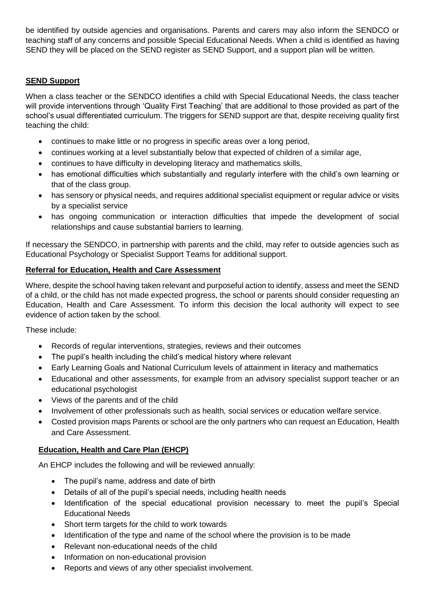be identified by outside agencies and organisations. Parents and carers may also inform the SENDCO or teaching staff of any concerns and possible Special Educational Needs. When a child is identified as having SEND they will be placed on the SEND register as SEND Support, and a support plan will be written.

## **SEND Support**

When a class teacher or the SENDCO identifies a child with Special Educational Needs, the class teacher will provide interventions through 'Quality First Teaching' that are additional to those provided as part of the school's usual differentiated curriculum. The triggers for SEND support are that, despite receiving quality first teaching the child:

- continues to make little or no progress in specific areas over a long period,
- continues working at a level substantially below that expected of children of a similar age,
- continues to have difficulty in developing literacy and mathematics skills,
- has emotional difficulties which substantially and regularly interfere with the child's own learning or that of the class group.
- has sensory or physical needs, and requires additional specialist equipment or regular advice or visits by a specialist service
- has ongoing communication or interaction difficulties that impede the development of social relationships and cause substantial barriers to learning.

If necessary the SENDCO, in partnership with parents and the child, may refer to outside agencies such as Educational Psychology or Specialist Support Teams for additional support.

#### **Referral for Education, Health and Care Assessment**

Where, despite the school having taken relevant and purposeful action to identify, assess and meet the SEND of a child, or the child has not made expected progress, the school or parents should consider requesting an Education, Health and Care Assessment. To inform this decision the local authority will expect to see evidence of action taken by the school.

These include:

- Records of regular interventions, strategies, reviews and their outcomes
- The pupil's health including the child's medical history where relevant
- Early Learning Goals and National Curriculum levels of attainment in literacy and mathematics
- Educational and other assessments, for example from an advisory specialist support teacher or an educational psychologist
- Views of the parents and of the child
- Involvement of other professionals such as health, social services or education welfare service.
- Costed provision maps Parents or school are the only partners who can request an Education, Health and Care Assessment.

#### **Education, Health and Care Plan (EHCP)**

An EHCP includes the following and will be reviewed annually:

- The pupil's name, address and date of birth
- Details of all of the pupil's special needs, including health needs
- Identification of the special educational provision necessary to meet the pupil's Special Educational Needs
- Short term targets for the child to work towards
- Identification of the type and name of the school where the provision is to be made
- Relevant non-educational needs of the child
- Information on non-educational provision
- Reports and views of any other specialist involvement.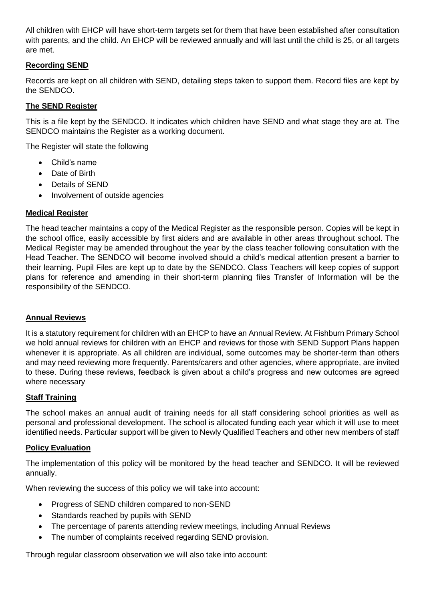All children with EHCP will have short-term targets set for them that have been established after consultation with parents, and the child. An EHCP will be reviewed annually and will last until the child is 25, or all targets are met.

## **Recording SEND**

Records are kept on all children with SEND, detailing steps taken to support them. Record files are kept by the SENDCO.

## **The SEND Register**

This is a file kept by the SENDCO. It indicates which children have SEND and what stage they are at. The SENDCO maintains the Register as a working document.

The Register will state the following

- Child's name
- Date of Birth
- Details of SEND
- Involvement of outside agencies

#### **Medical Register**

The head teacher maintains a copy of the Medical Register as the responsible person. Copies will be kept in the school office, easily accessible by first aiders and are available in other areas throughout school. The Medical Register may be amended throughout the year by the class teacher following consultation with the Head Teacher. The SENDCO will become involved should a child's medical attention present a barrier to their learning. Pupil Files are kept up to date by the SENDCO. Class Teachers will keep copies of support plans for reference and amending in their short-term planning files Transfer of Information will be the responsibility of the SENDCO.

### **Annual Reviews**

It is a statutory requirement for children with an EHCP to have an Annual Review. At Fishburn Primary School we hold annual reviews for children with an EHCP and reviews for those with SEND Support Plans happen whenever it is appropriate. As all children are individual, some outcomes may be shorter-term than others and may need reviewing more frequently. Parents/carers and other agencies, where appropriate, are invited to these. During these reviews, feedback is given about a child's progress and new outcomes are agreed where necessary

### **Staff Training**

The school makes an annual audit of training needs for all staff considering school priorities as well as personal and professional development. The school is allocated funding each year which it will use to meet identified needs. Particular support will be given to Newly Qualified Teachers and other new members of staff

#### **Policy Evaluation**

The implementation of this policy will be monitored by the head teacher and SENDCO. It will be reviewed annually.

When reviewing the success of this policy we will take into account:

- Progress of SEND children compared to non-SEND
- Standards reached by pupils with SEND
- The percentage of parents attending review meetings, including Annual Reviews
- The number of complaints received regarding SEND provision.

Through regular classroom observation we will also take into account: